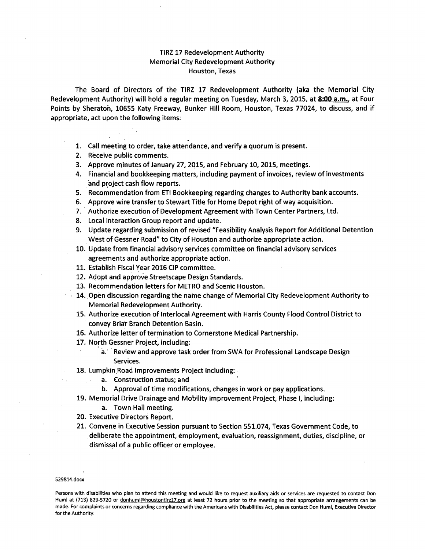## TIRZ 17 Redevelopment Authority Memorial City Redevelopment Authority Houston, Texas

The Board of Directors of the TIRZ 17 Redevelopment Authority (aka the Memorial City Redevelopment Authority) will hold a regular meeting on Tuesday, March 3, 2015, at 8:00 a.m., at Four Points by Sheraton, 10655 Katy Freeway, Bunker Hill Room, Houston, Texas 77024, to discuss, and if appropriate, act upon the following items:

- 1. Call meeting to order, take attendance, and verify a quorum is present.
- 2. Receive public comments.
- 3. Approve minutes of January 27, 2015, and February 10, 2015, meetings.
- 4. Financial and bookkeeping matters, including payment of invoices, review of investments and project cash flow reports.
- 5. Recommendation from ETI Bookkeeping regarding changes to Authority bank accounts.
- 6. Approve wire transfer to Stewart Title for Home Depot right of way acquisition.
- 7.. Authorize execution of Development Agreement with Town Center Partners, ltd.
- 8. Local Interaction Group report and update.
- 9. Update regarding submission of revised "Feasibility Analysis Report for Additional Detention West of Gessner Road" to City of Houston and authorize appropriate action.
- 10. Update from financial advisory services committee on financial advisory services agreements and authorize appropriate action.
- 11. Establish Fiscal Year 2016 CIP committee.
- 12. Adopt and approve Streetscape Design Standards.
- 13. Recommendation letters for METRO and Scenic Houston.
- 14. Open discussion regarding the name change of Memorial City Redevelopment Authority to Memorial Redevelopment Authority.
- 15. Authorize execution of Interlocal Agreement with Harris County Flood Control District to convey Briar Branch Detention Basin.
- 16. Authorize letter of termination to Cornerstone Medical Partnership.
- 17. North Gessner Project, including:
	- a. Review and approve task order from SWA for Professional Landscape Design Services.
- 18. Lumpkin Road Improvements Project including: .
	- a. Construction status; and
	- b. Approval of time modifications, changes in work or pay applications.
- 19. Memorial Drive Drainage and Mobility Improvement Project, Phase I, including:
	- a. Town Hall meeting.
- 20. Executive Directors Report.
- 21. Convene in Executive Session pursuant to Section 551.074, Texas Government Code, to deliberate the appointment, employment, evaluation, reassignment, duties, discipline, or dismissal of a public officer or employee.

## 529814.docx

Persons with disabilities who plan to attend this meeting and would like to request auxiliary aids or services are requested to contact Don Huml at (713) 829-5720 or donhuml@houstontirz17.org at least 72 hours prior to the meeting so that appropriate arrangements can be made. For complaints or concerns regarding compliance with the Americans with Disabilities Act, please contact Don Huml, Executive Director for the Authority.